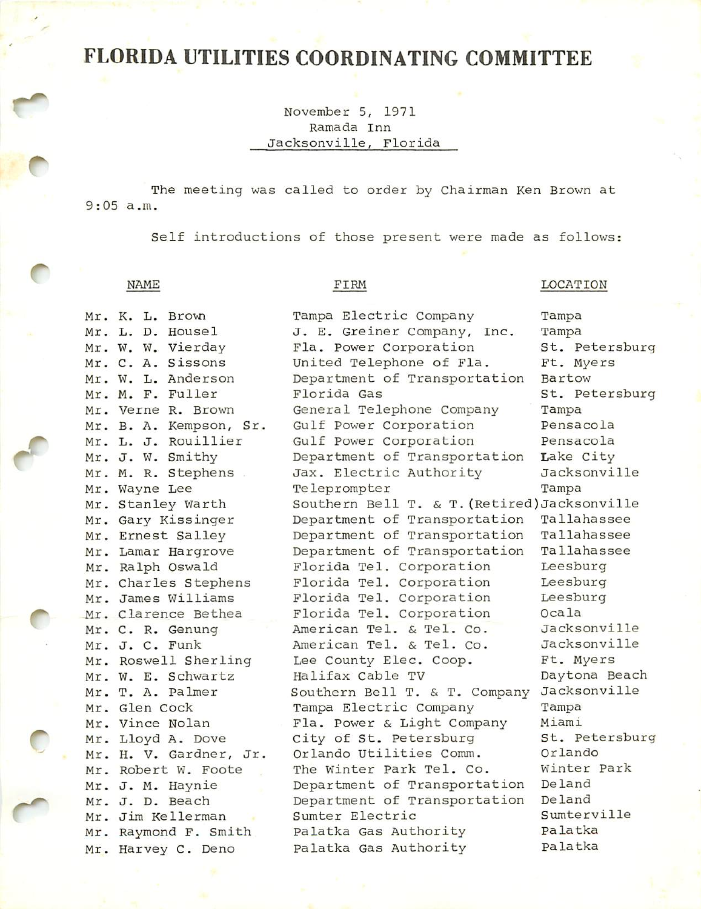## FLORIDA UTILITIES COORDINATING COMMITTEE

November 5, 1971 Ramada Inn Jacksonville, Florida

The meeting was called to order by Chairman Ken Brown at 9:05 a.m.

Self introductions of those present were made as follows:

## NAME FIRM FIRM LOCATION

| Mr. K. L. Brown |                         | Tampa Electric Company                       | Tampa          |
|-----------------|-------------------------|----------------------------------------------|----------------|
|                 | Mr. L. D. Housel        | J. E. Greiner Company, Inc.                  | Tampa          |
|                 | Mr. W. W. Vierday       | Fla. Power Corporation                       | St. Petersburg |
|                 | Mr. C. A. Sissons       | United Telephone of Fla.                     | Ft. Myers      |
|                 | Mr. W. L. Anderson      | Department of Transportation                 | Bartow         |
|                 | Mr. M. F. Fuller        | Florida Gas                                  | St. Petersburg |
|                 | Mr. Verne R. Brown      | General Telephone Company                    | Tampa          |
|                 | Mr. B. A. Kempson, Sr.  | Gulf Power Corporation                       | Pensacola      |
|                 | Mr. L. J. Rouillier     | Gulf Power Corporation                       | Pensacola      |
|                 | Mr. J. W. Smithy        | Department of Transportation                 | Lake City      |
|                 | Mr. M. R. Stephens      | Jax. Electric Authority                      | Jacksonville   |
| Mr. Wayne Lee   |                         | Teleprompter                                 | Tampa          |
|                 | Mr. Stanley Warth       | Southern Bell T. & T. (Retired) Jacksonville |                |
|                 | Mr. Gary Kissinger      | Department of Transportation                 | Tallahassee    |
|                 | Mr. Ernest Salley       | Department of Transportation                 | Tallahassee    |
|                 | Mr. Lamar Hargrove      | Department of Transportation                 | Tallahassee    |
|                 | Mr. Ralph Oswald        | Florida Tel. Corporation                     | Leesburg       |
|                 | Mr. Charles Stephens    | Florida Tel. Corporation                     | Leesburg       |
|                 | Mr. James Williams      | Florida Tel. Corporation                     | Leesburg       |
|                 | Mr. Clarence Bethea     | Florida Tel. Corporation                     | Ocala          |
|                 | Mr. C. R. Genung        | American Tel. & Tel. Co.                     | Jacksonville   |
| Mr. J. C. Funk  |                         | American Tel. & Tel. Co.                     | Jacksonville   |
|                 | Mr. Roswell Sherling    | Lee County Elec. Coop.                       | Ft. Myers      |
|                 | Mr. W. E. Schwartz      | Halifax Cable TV                             | Daytona Beach  |
|                 | Mr. T. A. Palmer        | Southern Bell T. & T. Company                | Jacksonville   |
| Mr. Glen Cock   |                         | Tampa Electric Company                       | Tampa          |
| Mr. Vince Nolan |                         | Fla. Power & Light Company                   | Miami          |
|                 | Mr. Lloyd A. Dove       | City of St. Petersburg                       | St. Petersburg |
|                 | Mr. H. V. Gardner, Jr.  | Orlando Utilities Comm.                      | Orlando        |
|                 | Mr. Robert W. Foote     | The Winter Park Tel. Co.                     | Winter Park    |
|                 | Mr. J. M. Haynie        | Department of Transportation                 | Deland         |
| Mr. J. D. Beach |                         | Department of Transportation                 | Deland         |
|                 | Mr. Jim Kellerman<br>n. | Sumter Electric                              | Sumterville    |
|                 | Mr. Raymond F. Smith    | Palatka Gas Authority                        | Palatka        |
|                 | Mr. Harvey C. Deno      | Palatka Gas Authority                        | Palatka        |
|                 |                         |                                              |                |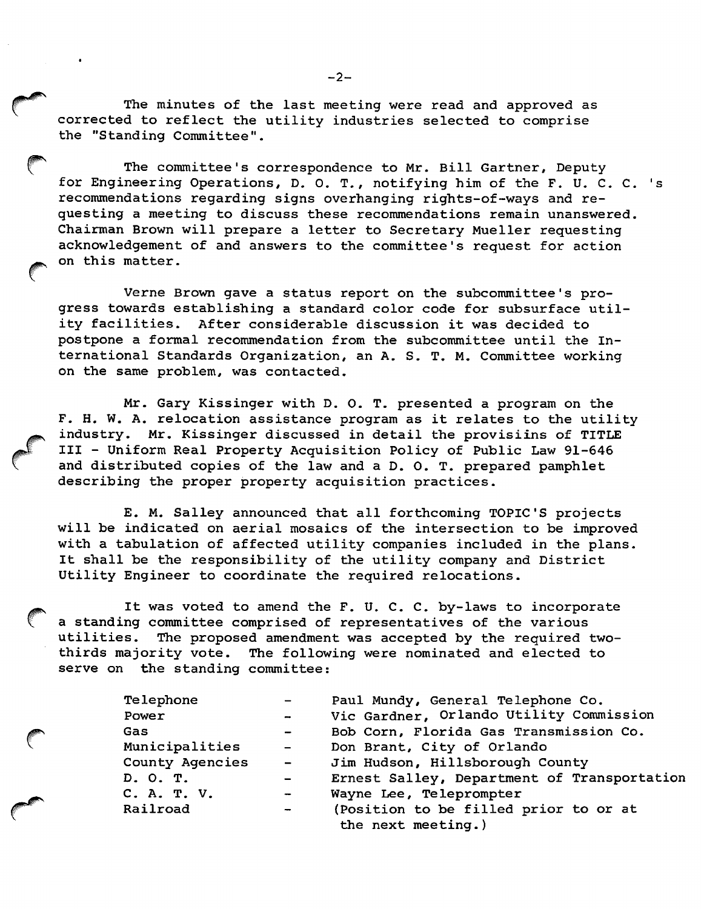The minutes of the last meeting were read and approved as corrected to reflect the utility industries selected to comprise the "Standing Committee".

The committee's correspondence to Mr. Bill Gartner, Deputy for Engineering Operations, D. 0. T., notifying him of the F. U. C. C. 's recommendations regarding signs overhanging rights-of-ways and re questing a meeting to discuss these recommendations remain unanswered. Chairman Brown will prepare a letter to Secretary Mueller requesting acknowledgement of and answers to the committee's request for action on this matter.

Verne Brown gave a status report on the subcommittee's pro gress towards establishing a standard color code for subsurface util ity facilities. After considerable discussion it was decided to postpone a formal recommendation from the subcommittee until the In ternational Standards Organization, an A. S. T. M. Committee working on the same problem, was contacted.

Mr. Gary Kissinger with D. 0. T. presented a program on the F. H. W. A. relocation assistance program as it relates to the utility industry. Mr. Kissinger discussed in detail the provisiins of TITLE III - Uniform Real Property Acquisition Policy of Public Law 91-646 and distributed copies of the law and a D. O. T. prepared pamphlet describing the proper property acquisition practices.

E. M. Salley announced that all forthcoming TOPIC'S projects will be indicated on aerial mosaics of the intersection to be improved with a tabulation of affected utility companies included in the plans. It shall be the responsibility of the utility company and District Utility Engineer to coordinate the required relocations.

It was voted to amend the F. U. C. C. by-laws to incorporate a standing committee comprised of representatives of the various utilities. The proposed amendment was accepted by the required twothirds majority vote. The following were nominated and elected to serve on the standing committee:

| Telephone       |                             | Paul Mundy, General Telephone Co.           |  |
|-----------------|-----------------------------|---------------------------------------------|--|
| Power           | $\rightarrow$               | Vic Gardner, Orlando Utility Commission     |  |
| Gas             | $\sim$ $\sim$               | Bob Corn, Florida Gas Transmission Co.      |  |
| Municipalities  | $\sim$ $-$                  | Don Brant, City of Orlando                  |  |
| County Agencies | $\mathcal{L} = \mathcal{L}$ | Jim Hudson, Hillsborough County             |  |
| D. O. T.        | $\sim$ $\sim$               | Ernest Salley, Department of Transportation |  |
| C. A. T. V.     | $\overline{\phantom{0}}$    | Wayne Lee, Teleprompter                     |  |
| Railroad        | $\overline{\phantom{a}}$    | (Position to be filled prior to or at       |  |
|                 |                             | the next meeting.)                          |  |

 $-2-$